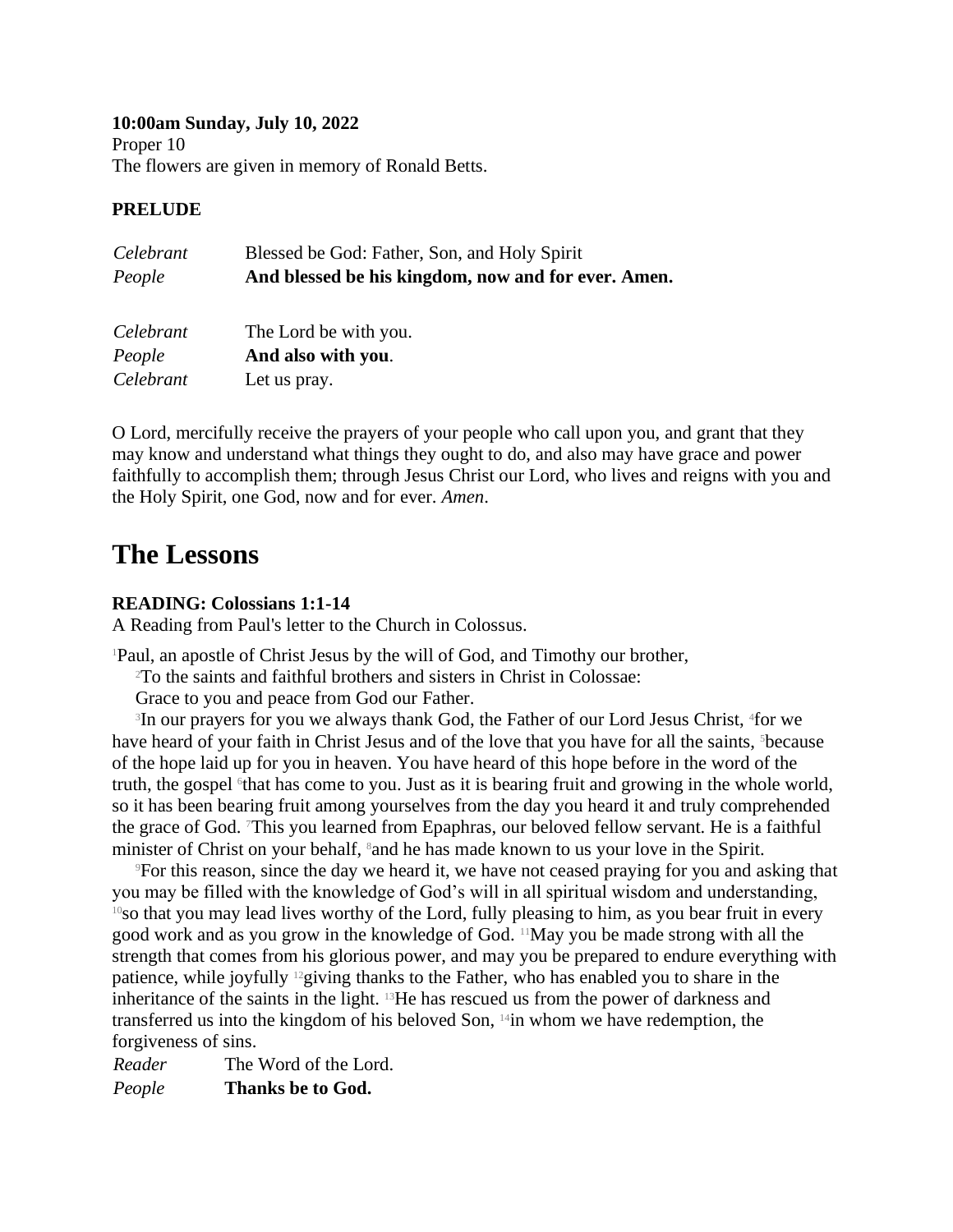#### **10:00am Sunday, July 10, 2022**

Proper 10 The flowers are given in memory of Ronald Betts.

# **PRELUDE**

| Celebrant<br>People | Blessed be God: Father, Son, and Holy Spirit<br>And blessed be his kingdom, now and for ever. Amen. |
|---------------------|-----------------------------------------------------------------------------------------------------|
| Celebrant           | The Lord be with you.                                                                               |
| People              | And also with you.                                                                                  |
| Celebrant           | Let us pray.                                                                                        |

O Lord, mercifully receive the prayers of your people who call upon you, and grant that they may know and understand what things they ought to do, and also may have grace and power faithfully to accomplish them; through Jesus Christ our Lord, who lives and reigns with you and the Holy Spirit, one God, now and for ever. *Amen*.

# **The Lessons**

# **READING: Colossians 1:1-14**

A Reading from Paul's letter to the Church in Colossus.

<sup>1</sup>Paul, an apostle of Christ Jesus by the will of God, and Timothy our brother,

<sup>2</sup>To the saints and faithful brothers and sisters in Christ in Colossae:

Grace to you and peace from God our Father.

<sup>3</sup>In our prayers for you we always thank God, the Father of our Lord Jesus Christ, <sup>4</sup>for we have heard of your faith in Christ Jesus and of the love that you have for all the saints, <sup>5</sup>because of the hope laid up for you in heaven. You have heard of this hope before in the word of the truth, the gospel <sup>6</sup> that has come to you. Just as it is bearing fruit and growing in the whole world, so it has been bearing fruit among yourselves from the day you heard it and truly comprehended the grace of God. 7This you learned from Epaphras, our beloved fellow servant. He is a faithful minister of Christ on your behalf, <sup>8</sup> and he has made known to us your love in the Spirit.

<sup>9</sup>For this reason, since the day we heard it, we have not ceased praying for you and asking that you may be filled with the knowledge of God's will in all spiritual wisdom and understanding, <sup>10</sup>so that you may lead lives worthy of the Lord, fully pleasing to him, as you bear fruit in every good work and as you grow in the knowledge of God. 11May you be made strong with all the strength that comes from his glorious power, and may you be prepared to endure everything with patience, while joyfully 12giving thanks to the Father, who has enabled you to share in the inheritance of the saints in the light. 13He has rescued us from the power of darkness and transferred us into the kingdom of his beloved Son, 14in whom we have redemption, the forgiveness of sins.

*Reader* The Word of the Lord. *People* **Thanks be to God.**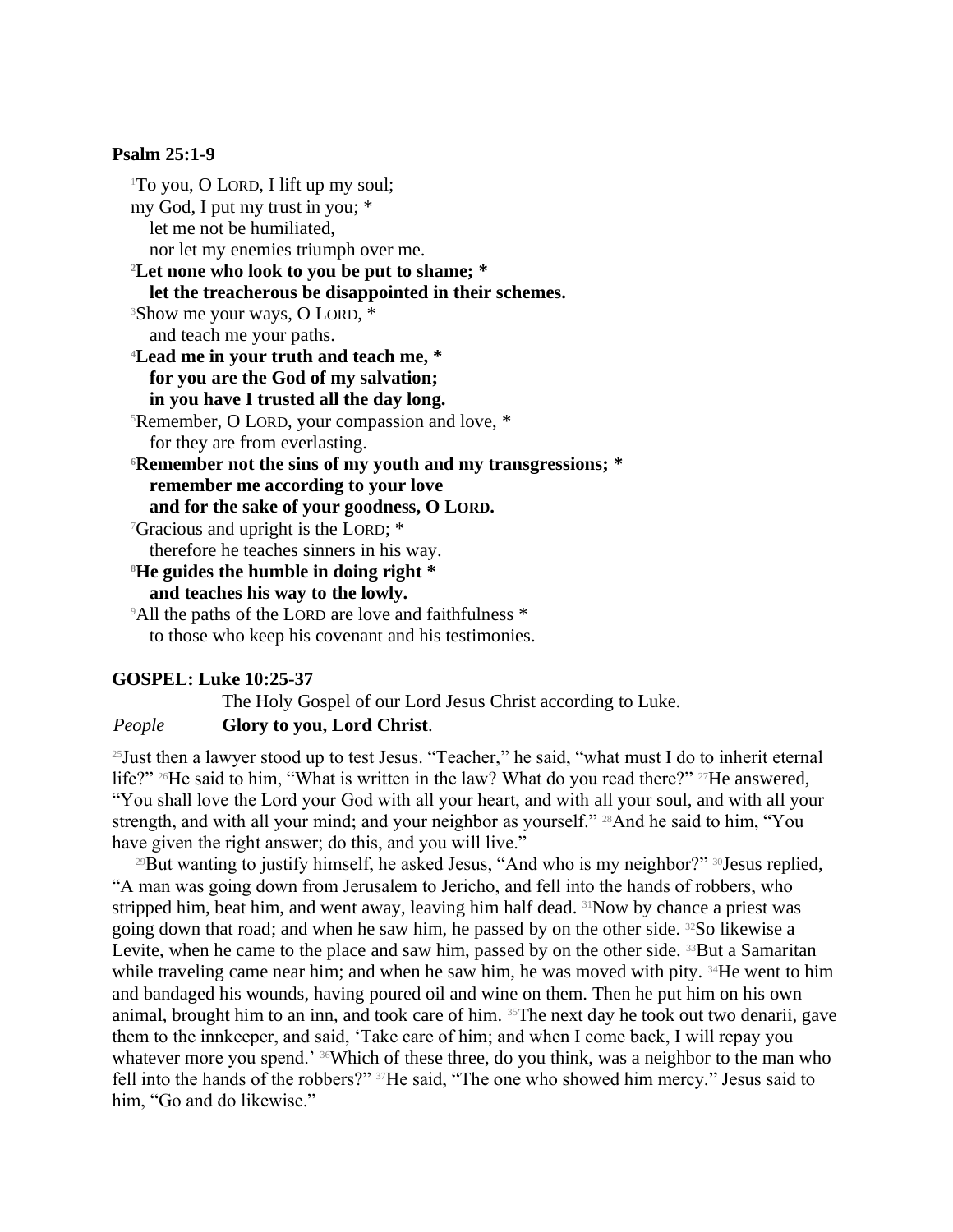#### **Psalm 25:1-9**

<sup>1</sup>To you, O LORD, I lift up my soul; my God, I put my trust in you; \* let me not be humiliated, nor let my enemies triumph over me. **<sup>2</sup>Let none who look to you be put to shame; \* let the treacherous be disappointed in their schemes.** <sup>3</sup>Show me your ways, O LORD, \* and teach me your paths. **<sup>4</sup>Lead me in your truth and teach me, \* for you are the God of my salvation; in you have I trusted all the day long.** <sup>5</sup>Remember, O LORD, your compassion and love, \* for they are from everlasting. **<sup>6</sup>Remember not the sins of my youth and my transgressions; \* remember me according to your love and for the sake of your goodness, O LORD.** <sup>7</sup>Gracious and upright is the LORD; \* therefore he teaches sinners in his way. **<sup>8</sup>He guides the humble in doing right \* and teaches his way to the lowly.** <sup>9</sup>All the paths of the LORD are love and faithfulness \*

to those who keep his covenant and his testimonies.

#### **GOSPEL: Luke 10:25-37**

The Holy Gospel of our Lord Jesus Christ according to Luke. *People* **Glory to you, Lord Christ**.

<sup>25</sup> Just then a lawyer stood up to test Jesus. "Teacher," he said, "what must I do to inherit eternal life?" <sup>26</sup>He said to him, "What is written in the law? What do you read there?" <sup>27</sup>He answered, "You shall love the Lord your God with all your heart, and with all your soul, and with all your strength, and with all your mind; and your neighbor as yourself." <sup>28</sup>And he said to him, "You have given the right answer; do this, and you will live."

<sup>29</sup>But wanting to justify himself, he asked Jesus, "And who is my neighbor?" <sup>30</sup>Jesus replied, "A man was going down from Jerusalem to Jericho, and fell into the hands of robbers, who stripped him, beat him, and went away, leaving him half dead. 31Now by chance a priest was going down that road; and when he saw him, he passed by on the other side. 32So likewise a Levite, when he came to the place and saw him, passed by on the other side.  $33$ But a Samaritan while traveling came near him; and when he saw him, he was moved with pity. <sup>34</sup>He went to him and bandaged his wounds, having poured oil and wine on them. Then he put him on his own animal, brought him to an inn, and took care of him. 35The next day he took out two denarii, gave them to the innkeeper, and said, 'Take care of him; and when I come back, I will repay you whatever more you spend.' <sup>36</sup>Which of these three, do you think, was a neighbor to the man who fell into the hands of the robbers?" 37He said, "The one who showed him mercy." Jesus said to him, "Go and do likewise."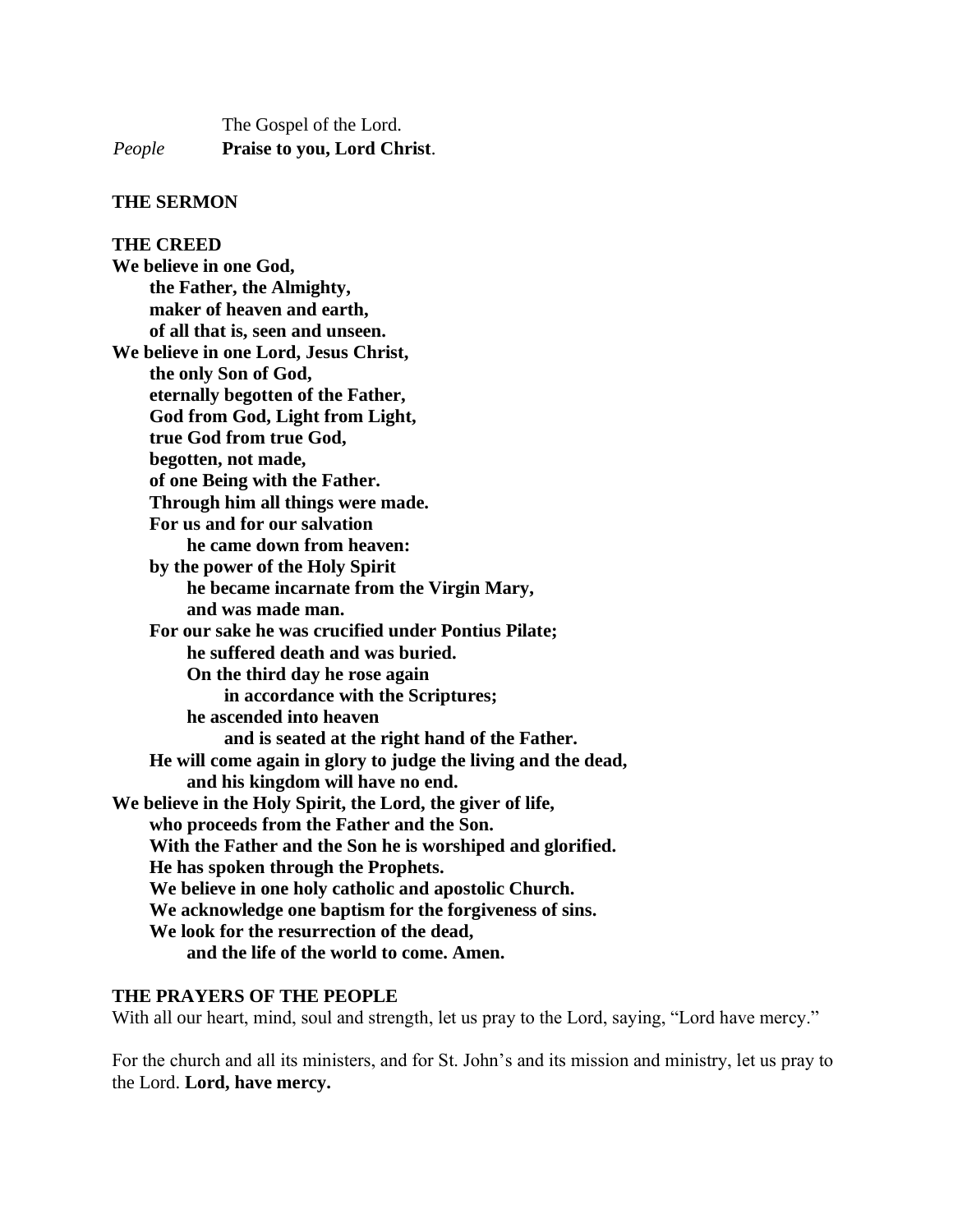The Gospel of the Lord. *People* **Praise to you, Lord Christ**.

#### **THE SERMON**

**THE CREED We believe in one God, the Father, the Almighty, maker of heaven and earth, of all that is, seen and unseen. We believe in one Lord, Jesus Christ, the only Son of God, eternally begotten of the Father, God from God, Light from Light, true God from true God, begotten, not made, of one Being with the Father. Through him all things were made. For us and for our salvation he came down from heaven: by the power of the Holy Spirit he became incarnate from the Virgin Mary, and was made man. For our sake he was crucified under Pontius Pilate; he suffered death and was buried. On the third day he rose again in accordance with the Scriptures; he ascended into heaven and is seated at the right hand of the Father. He will come again in glory to judge the living and the dead, and his kingdom will have no end. We believe in the Holy Spirit, the Lord, the giver of life, who proceeds from the Father and the Son. With the Father and the Son he is worshiped and glorified. He has spoken through the Prophets. We believe in one holy catholic and apostolic Church. We acknowledge one baptism for the forgiveness of sins. We look for the resurrection of the dead, and the life of the world to come. Amen.**

#### **THE PRAYERS OF THE PEOPLE**

With all our heart, mind, soul and strength, let us pray to the Lord, saying, "Lord have mercy."

For the church and all its ministers, and for St. John's and its mission and ministry, let us pray to the Lord. **Lord, have mercy.**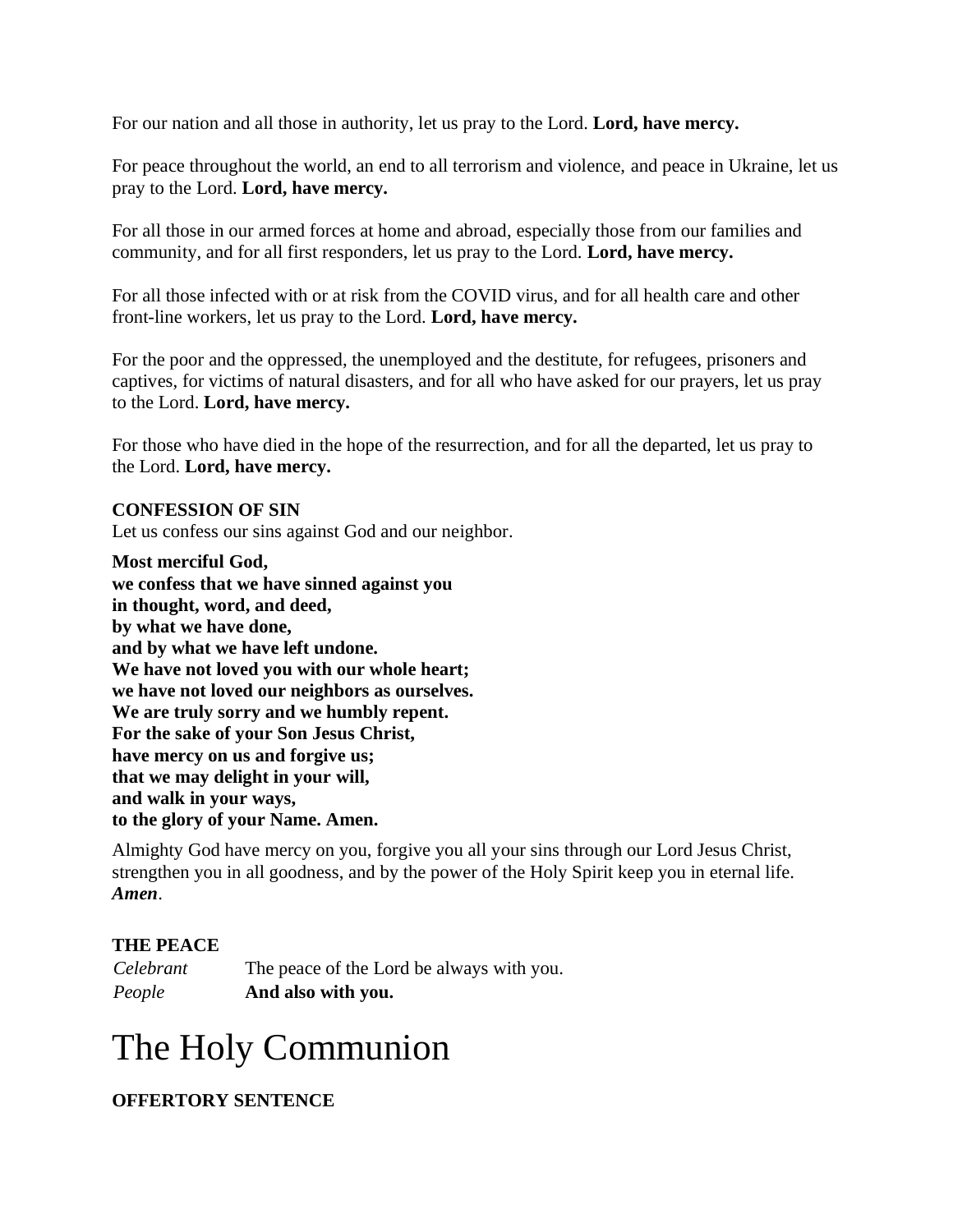For our nation and all those in authority, let us pray to the Lord. **Lord, have mercy.**

For peace throughout the world, an end to all terrorism and violence, and peace in Ukraine, let us pray to the Lord. **Lord, have mercy.**

For all those in our armed forces at home and abroad, especially those from our families and community, and for all first responders, let us pray to the Lord. **Lord, have mercy.**

For all those infected with or at risk from the COVID virus, and for all health care and other front-line workers, let us pray to the Lord. **Lord, have mercy.**

For the poor and the oppressed, the unemployed and the destitute, for refugees, prisoners and captives, for victims of natural disasters, and for all who have asked for our prayers, let us pray to the Lord. **Lord, have mercy.**

For those who have died in the hope of the resurrection, and for all the departed, let us pray to the Lord. **Lord, have mercy.**

#### **CONFESSION OF SIN**

Let us confess our sins against God and our neighbor.

**Most merciful God, we confess that we have sinned against you in thought, word, and deed, by what we have done, and by what we have left undone. We have not loved you with our whole heart; we have not loved our neighbors as ourselves. We are truly sorry and we humbly repent. For the sake of your Son Jesus Christ, have mercy on us and forgive us; that we may delight in your will, and walk in your ways, to the glory of your Name. Amen.**

Almighty God have mercy on you, forgive you all your sins through our Lord Jesus Christ, strengthen you in all goodness, and by the power of the Holy Spirit keep you in eternal life. *Amen*.

# **THE PEACE**

| Celebrant | The peace of the Lord be always with you. |
|-----------|-------------------------------------------|
| People    | And also with you.                        |

# The Holy Communion

# **OFFERTORY SENTENCE**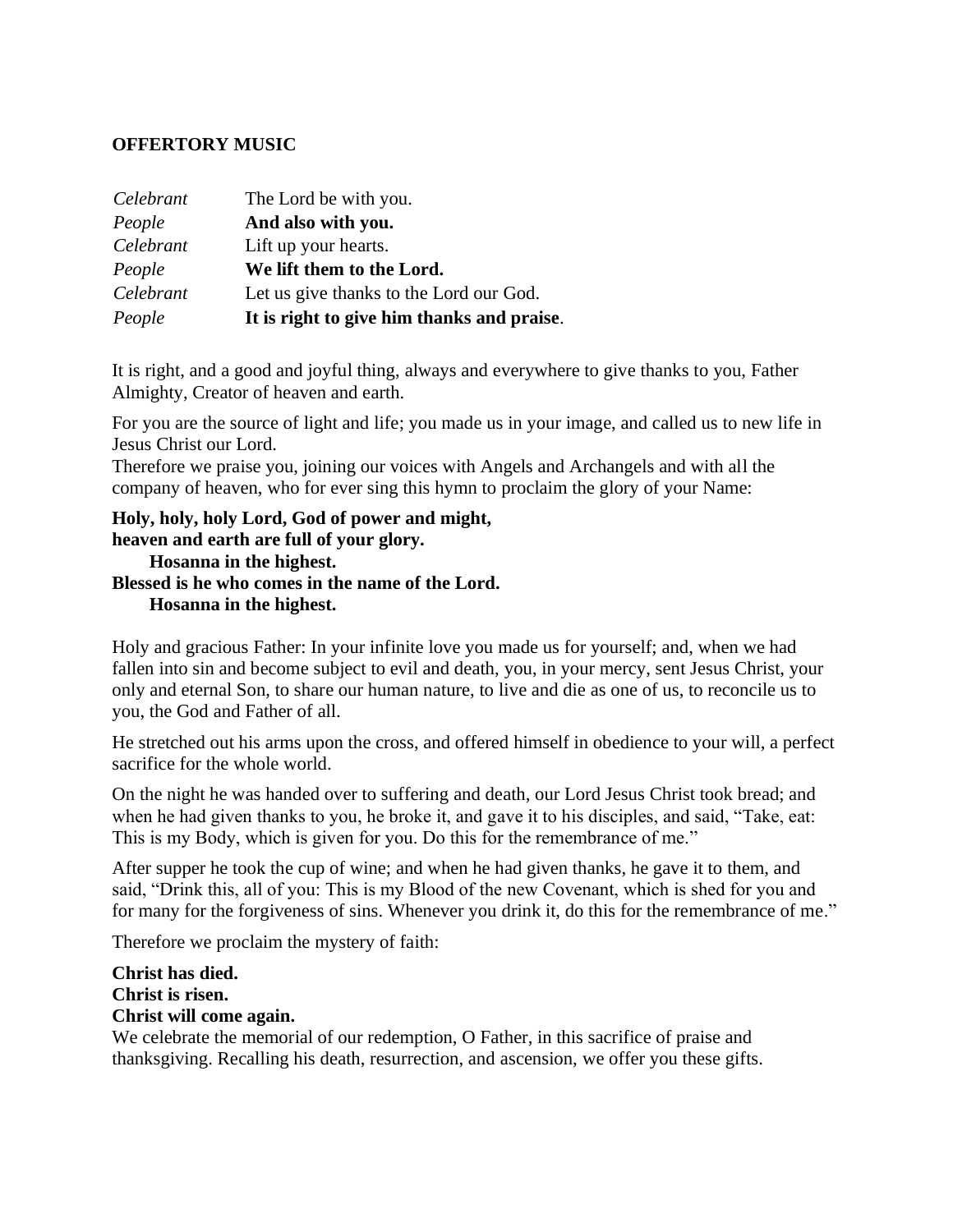## **OFFERTORY MUSIC**

| Celebrant | The Lord be with you.                      |
|-----------|--------------------------------------------|
| People    | And also with you.                         |
| Celebrant | Lift up your hearts.                       |
| People    | We lift them to the Lord.                  |
| Celebrant | Let us give thanks to the Lord our God.    |
| People    | It is right to give him thanks and praise. |

It is right, and a good and joyful thing, always and everywhere to give thanks to you, Father Almighty, Creator of heaven and earth.

For you are the source of light and life; you made us in your image, and called us to new life in Jesus Christ our Lord.

Therefore we praise you, joining our voices with Angels and Archangels and with all the company of heaven, who for ever sing this hymn to proclaim the glory of your Name:

**Holy, holy, holy Lord, God of power and might, heaven and earth are full of your glory. Hosanna in the highest. Blessed is he who comes in the name of the Lord. Hosanna in the highest.**

Holy and gracious Father: In your infinite love you made us for yourself; and, when we had fallen into sin and become subject to evil and death, you, in your mercy, sent Jesus Christ, your only and eternal Son, to share our human nature, to live and die as one of us, to reconcile us to you, the God and Father of all.

He stretched out his arms upon the cross, and offered himself in obedience to your will, a perfect sacrifice for the whole world.

On the night he was handed over to suffering and death, our Lord Jesus Christ took bread; and when he had given thanks to you, he broke it, and gave it to his disciples, and said, "Take, eat: This is my Body, which is given for you. Do this for the remembrance of me."

After supper he took the cup of wine; and when he had given thanks, he gave it to them, and said, "Drink this, all of you: This is my Blood of the new Covenant, which is shed for you and for many for the forgiveness of sins. Whenever you drink it, do this for the remembrance of me."

Therefore we proclaim the mystery of faith:

## **Christ has died. Christ is risen. Christ will come again.**

We celebrate the memorial of our redemption, O Father, in this sacrifice of praise and thanksgiving. Recalling his death, resurrection, and ascension, we offer you these gifts.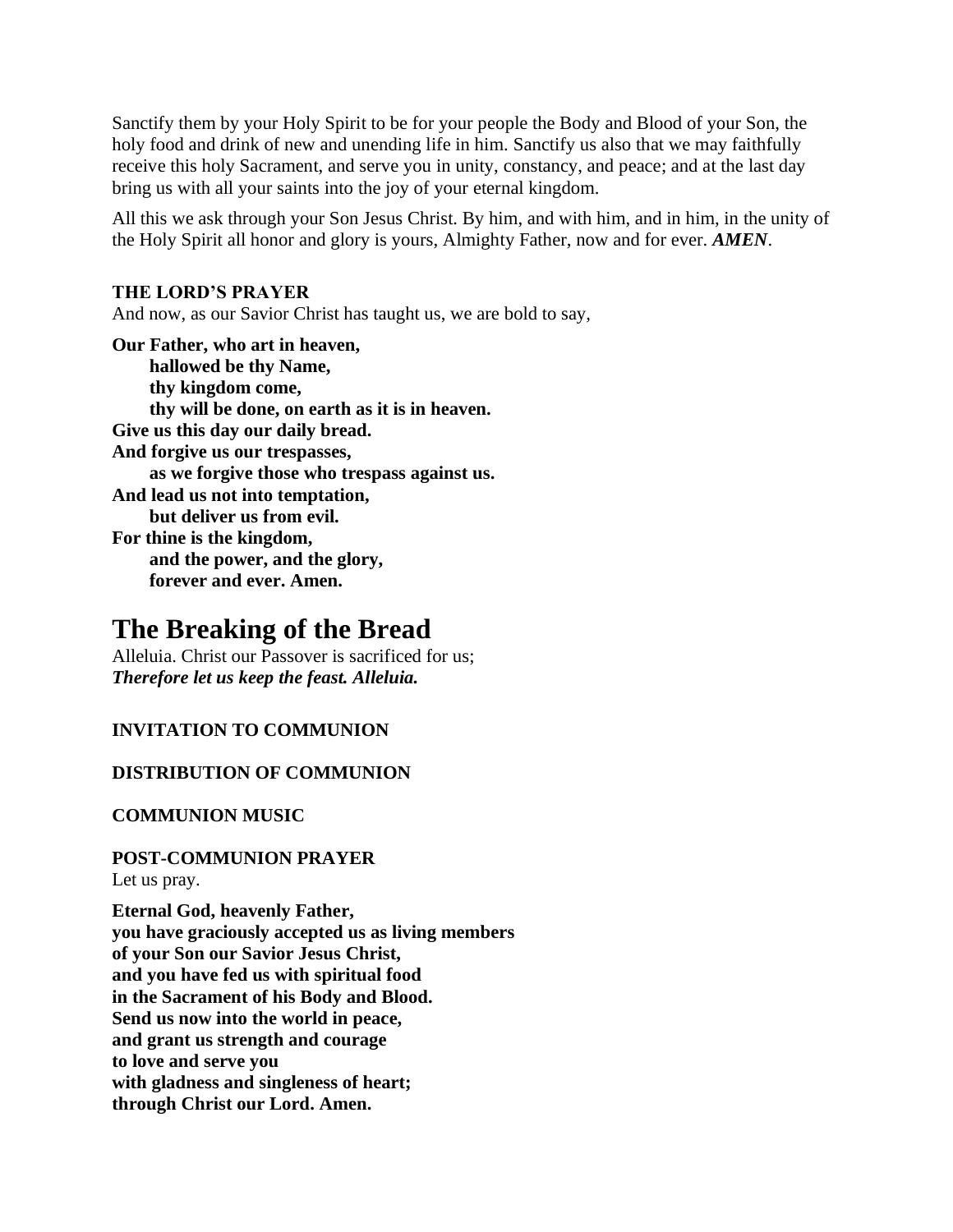Sanctify them by your Holy Spirit to be for your people the Body and Blood of your Son, the holy food and drink of new and unending life in him. Sanctify us also that we may faithfully receive this holy Sacrament, and serve you in unity, constancy, and peace; and at the last day bring us with all your saints into the joy of your eternal kingdom.

All this we ask through your Son Jesus Christ. By him, and with him, and in him, in the unity of the Holy Spirit all honor and glory is yours, Almighty Father, now and for ever. *AMEN*.

#### **THE LORD'S PRAYER**

And now, as our Savior Christ has taught us, we are bold to say,

**Our Father, who art in heaven, hallowed be thy Name, thy kingdom come, thy will be done, on earth as it is in heaven. Give us this day our daily bread. And forgive us our trespasses, as we forgive those who trespass against us. And lead us not into temptation, but deliver us from evil. For thine is the kingdom, and the power, and the glory, forever and ever. Amen.**

# **The Breaking of the Bread**

Alleluia. Christ our Passover is sacrificed for us; *Therefore let us keep the feast. Alleluia.*

### **INVITATION TO COMMUNION**

#### **DISTRIBUTION OF COMMUNION**

**COMMUNION MUSIC**

# **POST-COMMUNION PRAYER**

Let us pray.

**Eternal God, heavenly Father, you have graciously accepted us as living members of your Son our Savior Jesus Christ, and you have fed us with spiritual food in the Sacrament of his Body and Blood. Send us now into the world in peace, and grant us strength and courage to love and serve you with gladness and singleness of heart; through Christ our Lord. Amen.**